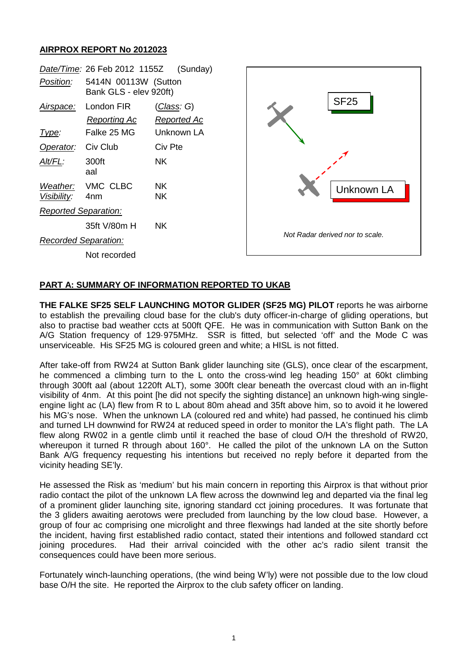## **AIRPROX REPORT No 2012023**

| Date/Time: 26 Feb 2012 1155Z<br>(Sunday) |                                                  |                                                        |                                 |  |
|------------------------------------------|--------------------------------------------------|--------------------------------------------------------|---------------------------------|--|
| Position:                                | 5414N 00113W (Sutton<br>Bank GLS - elev 920ft)   |                                                        |                                 |  |
| Airspace:<br><u>Type:</u>                | London FIR<br><b>Reporting Ac</b><br>Falke 25 MG | <u> Class</u> : G)<br><b>Reported Ac</b><br>Unknown LA | <b>SF25</b>                     |  |
| Operator:                                | Civ Club                                         | Civ Pte                                                |                                 |  |
| Alt/FL:                                  | 300ft<br>aal                                     | NK.                                                    |                                 |  |
| Weather:<br>Visibility:                  | VMC CLBC<br>4nm                                  | <b>NK</b><br><b>NK</b>                                 | <b>Unknown LA</b>               |  |
| <b>Reported Separation:</b>              |                                                  |                                                        |                                 |  |
|                                          | 35ft V/80m H                                     | <b>NK</b>                                              |                                 |  |
| <b>Recorded Separation:</b>              |                                                  |                                                        | Not Radar derived nor to scale. |  |
|                                          | Not recorded                                     |                                                        |                                 |  |
|                                          |                                                  |                                                        |                                 |  |

## **PART A: SUMMARY OF INFORMATION REPORTED TO UKAB**

**THE FALKE SF25 SELF LAUNCHING MOTOR GLIDER (SF25 MG) PILOT** reports he was airborne to establish the prevailing cloud base for the club's duty officer-in-charge of gliding operations, but also to practise bad weather ccts at 500ft QFE. He was in communication with Sutton Bank on the A/G Station frequency of 129·975MHz. SSR is fitted, but selected 'off' and the Mode C was unserviceable. His SF25 MG is coloured green and white; a HISL is not fitted.

After take-off from RW24 at Sutton Bank glider launching site (GLS), once clear of the escarpment, he commenced a climbing turn to the L onto the cross-wind leg heading 150° at 60kt climbing through 300ft aal (about 1220ft ALT), some 300ft clear beneath the overcast cloud with an in-flight visibility of 4nm. At this point [he did not specify the sighting distance] an unknown high-wing singleengine light ac (LA) flew from R to L about 80m ahead and 35ft above him, so to avoid it he lowered his MG's nose. When the unknown LA (coloured red and white) had passed, he continued his climb and turned LH downwind for RW24 at reduced speed in order to monitor the LA's flight path. The LA flew along RW02 in a gentle climb until it reached the base of cloud O/H the threshold of RW20, whereupon it turned R through about 160°. He called the pilot of the unknown LA on the Sutton Bank A/G frequency requesting his intentions but received no reply before it departed from the vicinity heading SE'ly.

He assessed the Risk as 'medium' but his main concern in reporting this Airprox is that without prior radio contact the pilot of the unknown LA flew across the downwind leg and departed via the final leg of a prominent glider launching site, ignoring standard cct joining procedures. It was fortunate that the 3 gliders awaiting aerotows were precluded from launching by the low cloud base. However, a group of four ac comprising one microlight and three flexwings had landed at the site shortly before the incident, having first established radio contact, stated their intentions and followed standard cct joining procedures. Had their arrival coincided with the other ac's radio silent transit the consequences could have been more serious.

Fortunately winch-launching operations, (the wind being W'ly) were not possible due to the low cloud base O/H the site. He reported the Airprox to the club safety officer on landing.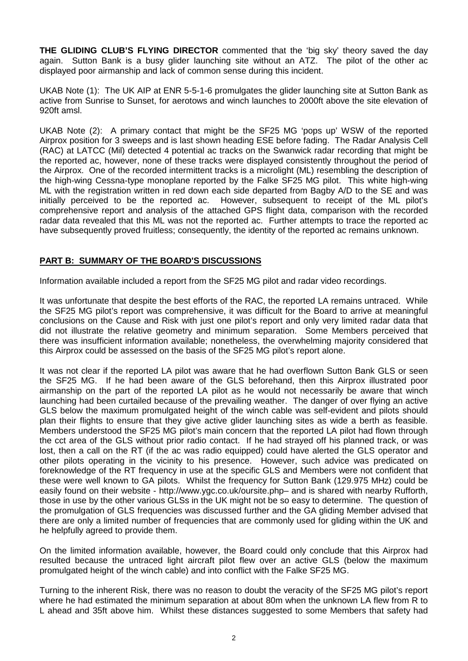**THE GLIDING CLUB'S FLYING DIRECTOR** commented that the 'big sky' theory saved the day again. Sutton Bank is a busy glider launching site without an ATZ. The pilot of the other ac displayed poor airmanship and lack of common sense during this incident.

UKAB Note (1): The UK AIP at ENR 5-5-1-6 promulgates the glider launching site at Sutton Bank as active from Sunrise to Sunset, for aerotows and winch launches to 2000ft above the site elevation of 920ft amsl.

UKAB Note (2): A primary contact that might be the SF25 MG 'pops up' WSW of the reported Airprox position for 3 sweeps and is last shown heading ESE before fading. The Radar Analysis Cell (RAC) at LATCC (Mil) detected 4 potential ac tracks on the Swanwick radar recording that might be the reported ac, however, none of these tracks were displayed consistently throughout the period of the Airprox. One of the recorded intermittent tracks is a microlight (ML) resembling the description of the high-wing Cessna-type monoplane reported by the Falke SF25 MG pilot. This white high-wing ML with the registration written in red down each side departed from Bagby A/D to the SE and was initially perceived to be the reported ac. However, subsequent to receipt of the ML pilot's comprehensive report and analysis of the attached GPS flight data, comparison with the recorded radar data revealed that this ML was not the reported ac. Further attempts to trace the reported ac have subsequently proved fruitless; consequently, the identity of the reported ac remains unknown.

## **PART B: SUMMARY OF THE BOARD'S DISCUSSIONS**

Information available included a report from the SF25 MG pilot and radar video recordings.

It was unfortunate that despite the best efforts of the RAC, the reported LA remains untraced. While the SF25 MG pilot's report was comprehensive, it was difficult for the Board to arrive at meaningful conclusions on the Cause and Risk with just one pilot's report and only very limited radar data that did not illustrate the relative geometry and minimum separation. Some Members perceived that there was insufficient information available; nonetheless, the overwhelming majority considered that this Airprox could be assessed on the basis of the SF25 MG pilot's report alone.

It was not clear if the reported LA pilot was aware that he had overflown Sutton Bank GLS or seen the SF25 MG. If he had been aware of the GLS beforehand, then this Airprox illustrated poor airmanship on the part of the reported LA pilot as he would not necessarily be aware that winch launching had been curtailed because of the prevailing weather. The danger of over flying an active GLS below the maximum promulgated height of the winch cable was self-evident and pilots should plan their flights to ensure that they give active glider launching sites as wide a berth as feasible. Members understood the SF25 MG pilot's main concern that the reported LA pilot had flown through the cct area of the GLS without prior radio contact. If he had strayed off his planned track, or was lost, then a call on the RT (if the ac was radio equipped) could have alerted the GLS operator and other pilots operating in the vicinity to his presence. However, such advice was predicated on foreknowledge of the RT frequency in use at the specific GLS and Members were not confident that these were well known to GA pilots. Whilst the frequency for Sutton Bank (129.975 MHz) could be easily found on their website - http://www.ygc.co.uk/oursite.php– and is shared with nearby Rufforth, those in use by the other various GLSs in the UK might not be so easy to determine. The question of the promulgation of GLS frequencies was discussed further and the GA gliding Member advised that there are only a limited number of frequencies that are commonly used for gliding within the UK and he helpfully agreed to provide them.

On the limited information available, however, the Board could only conclude that this Airprox had resulted because the untraced light aircraft pilot flew over an active GLS (below the maximum promulgated height of the winch cable) and into conflict with the Falke SF25 MG.

Turning to the inherent Risk, there was no reason to doubt the veracity of the SF25 MG pilot's report where he had estimated the minimum separation at about 80m when the unknown LA flew from R to L ahead and 35ft above him. Whilst these distances suggested to some Members that safety had